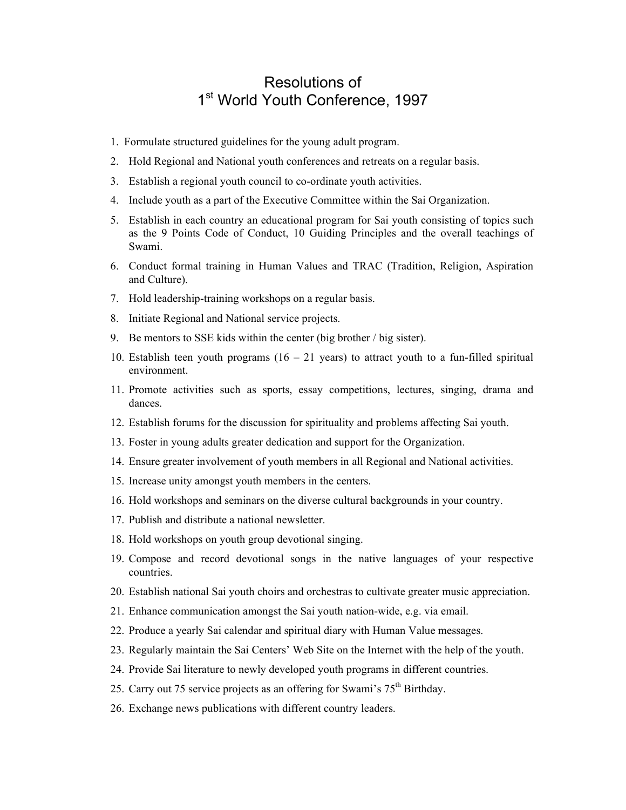## Resolutions of 1st World Youth Conference, 1997

- 1. Formulate structured guidelines for the young adult program.
- 2. Hold Regional and National youth conferences and retreats on a regular basis.
- 3. Establish a regional youth council to co-ordinate youth activities.
- 4. Include youth as a part of the Executive Committee within the Sai Organization.
- 5. Establish in each country an educational program for Sai youth consisting of topics such as the 9 Points Code of Conduct, 10 Guiding Principles and the overall teachings of Swami.
- 6. Conduct formal training in Human Values and TRAC (Tradition, Religion, Aspiration and Culture).
- 7. Hold leadership-training workshops on a regular basis.
- 8. Initiate Regional and National service projects.
- 9. Be mentors to SSE kids within the center (big brother / big sister).
- 10. Establish teen youth programs  $(16 21$  years) to attract youth to a fun-filled spiritual environment.
- 11. Promote activities such as sports, essay competitions, lectures, singing, drama and dances.
- 12. Establish forums for the discussion for spirituality and problems affecting Sai youth.
- 13. Foster in young adults greater dedication and support for the Organization.
- 14. Ensure greater involvement of youth members in all Regional and National activities.
- 15. Increase unity amongst youth members in the centers.
- 16. Hold workshops and seminars on the diverse cultural backgrounds in your country.
- 17. Publish and distribute a national newsletter.
- 18. Hold workshops on youth group devotional singing.
- 19. Compose and record devotional songs in the native languages of your respective countries.
- 20. Establish national Sai youth choirs and orchestras to cultivate greater music appreciation.
- 21. Enhance communication amongst the Sai youth nation-wide, e.g. via email.
- 22. Produce a yearly Sai calendar and spiritual diary with Human Value messages.
- 23. Regularly maintain the Sai Centers' Web Site on the Internet with the help of the youth.
- 24. Provide Sai literature to newly developed youth programs in different countries.
- 25. Carry out 75 service projects as an offering for Swami's  $75<sup>th</sup>$  Birthday.
- 26. Exchange news publications with different country leaders.